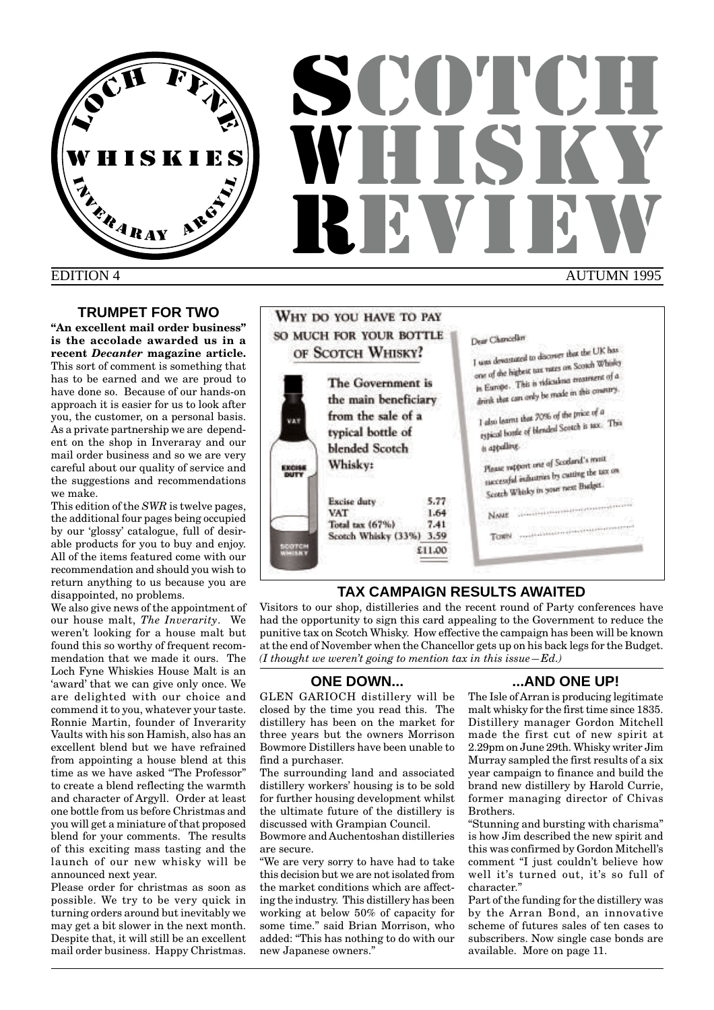

# EDITION 4

# **TRUMPET FOR TWO**

**"An excellent mail order business" is the accolade awarded us in a recent** *Decanter* **magazine article.** This sort of comment is something that has to be earned and we are proud to have done so. Because of our hands-on approach it is easier for us to look after you, the customer, on a personal basis. As a private partnership we are dependent on the shop in Inveraray and our mail order business and so we are very careful about our quality of service and the suggestions and recommendations we make.

This edition of the *SWR* is twelve pages, the additional four pages being occupied by our 'glossy' catalogue, full of desirable products for you to buy and enjoy. All of the items featured come with our recommendation and should you wish to return anything to us because you are disappointed, no problems.

We also give news of the appointment of our house malt, *The Inverarity*. We weren't looking for a house malt but found this so worthy of frequent recommendation that we made it ours. The Loch Fyne Whiskies House Malt is an 'award' that we can give only once. We are delighted with our choice and commend it to you, whatever your taste. Ronnie Martin, founder of Inverarity Vaults with his son Hamish, also has an excellent blend but we have refrained from appointing a house blend at this time as we have asked "The Professor" to create a blend reflecting the warmth and character of Argyll. Order at least one bottle from us before Christmas and you will get a miniature of that proposed blend for your comments. The results of this exciting mass tasting and the launch of our new whisky will be announced next year.

Please order for christmas as soon as possible. We try to be very quick in turning orders around but inevitably we may get a bit slower in the next month. Despite that, it will still be an excellent mail order business. Happy Christmas.



# **TAX CAMPAIGN RESULTS AWAITED**

Visitors to our shop, distilleries and the recent round of Party conferences have had the opportunity to sign this card appealing to the Government to reduce the punitive tax on Scotch Whisky. How effective the campaign has been will be known at the end of November when the Chancellor gets up on his back legs for the Budget. *(I thought we weren't going to mention tax in this issue—Ed.)*

# **ONE DOWN...**

GLEN GARIOCH distillery will be closed by the time you read this. The distillery has been on the market for three years but the owners Morrison Bowmore Distillers have been unable to find a purchaser.

The surrounding land and associated distillery workers' housing is to be sold for further housing development whilst the ultimate future of the distillery is discussed with Grampian Council.

Bowmore and Auchentoshan distilleries are secure.

"We are very sorry to have had to take this decision but we are not isolated from the market conditions which are affecting the industry. This distillery has been working at below 50% of capacity for some time." said Brian Morrison, who added: "This has nothing to do with our new Japanese owners."

# **...AND ONE UP!**

The Isle of Arran is producing legitimate malt whisky for the first time since 1835. Distillery manager Gordon Mitchell made the first cut of new spirit at 2.29pm on June 29th. Whisky writer Jim Murray sampled the first results of a six year campaign to finance and build the brand new distillery by Harold Currie, former managing director of Chivas Brothers.

"Stunning and bursting with charisma" is how Jim described the new spirit and this was confirmed by Gordon Mitchell's comment "I just couldn't believe how well it's turned out, it's so full of character."

Part of the funding for the distillery was by the Arran Bond, an innovative scheme of futures sales of ten cases to subscribers. Now single case bonds are available. More on page 11.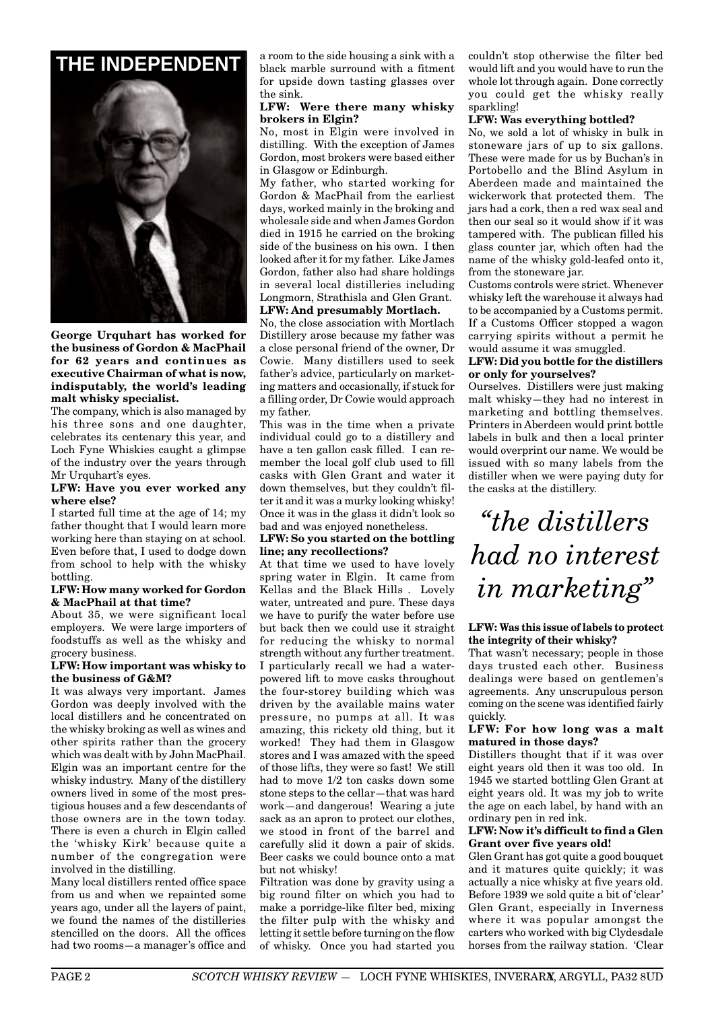

**George Urquhart has worked for the business of Gordon & MacPhail for 62 years and continues as executive Chairman of what is now, indisputably, the world's leading malt whisky specialist.**

The company, which is also managed by his three sons and one daughter, celebrates its centenary this year, and Loch Fyne Whiskies caught a glimpse of the industry over the years through Mr Urquhart's eyes.

#### **LFW: Have you ever worked any where else?**

I started full time at the age of 14; my father thought that I would learn more working here than staying on at school. Even before that, I used to dodge down from school to help with the whisky bottling.

#### **LFW: How many worked for Gordon & MacPhail at that time?**

About 35, we were significant local employers. We were large importers of foodstuffs as well as the whisky and grocery business.

#### **LFW: How important was whisky to the business of G&M?**

It was always very important. James Gordon was deeply involved with the local distillers and he concentrated on the whisky broking as well as wines and other spirits rather than the grocery which was dealt with by John MacPhail. Elgin was an important centre for the whisky industry. Many of the distillery owners lived in some of the most prestigious houses and a few descendants of those owners are in the town today. There is even a church in Elgin called the 'whisky Kirk' because quite a number of the congregation were involved in the distilling.

Many local distillers rented office space from us and when we repainted some years ago, under all the layers of paint, we found the names of the distilleries stencilled on the doors. All the offices had two rooms—a manager's office and

**THE INDEPENDENT** a room to the side housing a sink with a fitment black marble surround with a fitment for upside down tasting glasses over the sink.

#### **LFW: Were there many whisky brokers in Elgin?**

No, most in Elgin were involved in distilling. With the exception of James Gordon, most brokers were based either in Glasgow or Edinburgh.

My father, who started working for Gordon & MacPhail from the earliest days, worked mainly in the broking and wholesale side and when James Gordon died in 1915 he carried on the broking side of the business on his own. I then looked after it for my father. Like James Gordon, father also had share holdings in several local distilleries including Longmorn, Strathisla and Glen Grant. **LFW: And presumably Mortlach.**

No, the close association with Mortlach Distillery arose because my father was a close personal friend of the owner, Dr Cowie. Many distillers used to seek father's advice, particularly on marketing matters and occasionally, if stuck for a filling order, Dr Cowie would approach my father.

This was in the time when a private individual could go to a distillery and have a ten gallon cask filled. I can remember the local golf club used to fill casks with Glen Grant and water it down themselves, but they couldn't filter it and it was a murky looking whisky! Once it was in the glass it didn't look so bad and was enjoyed nonetheless.

## **LFW: So you started on the bottling line; any recollections?**

At that time we used to have lovely spring water in Elgin. It came from Kellas and the Black Hills . Lovely water, untreated and pure. These days we have to purify the water before use but back then we could use it straight for reducing the whisky to normal strength without any further treatment. I particularly recall we had a waterpowered lift to move casks throughout the four-storey building which was driven by the available mains water pressure, no pumps at all. It was amazing, this rickety old thing, but it worked! They had them in Glasgow stores and I was amazed with the speed of those lifts, they were so fast! We still had to move 1/2 ton casks down some stone steps to the cellar—that was hard work—and dangerous! Wearing a jute sack as an apron to protect our clothes, we stood in front of the barrel and carefully slid it down a pair of skids. Beer casks we could bounce onto a mat but not whisky!

Filtration was done by gravity using a big round filter on which you had to make a porridge-like filter bed, mixing the filter pulp with the whisky and letting it settle before turning on the flow of whisky. Once you had started you

couldn't stop otherwise the filter bed would lift and you would have to run the whole lot through again. Done correctly you could get the whisky really sparkling!

# **LFW: Was everything bottled?**

No, we sold a lot of whisky in bulk in stoneware jars of up to six gallons. These were made for us by Buchan's in Portobello and the Blind Asylum in Aberdeen made and maintained the wickerwork that protected them. The jars had a cork, then a red wax seal and then our seal so it would show if it was tampered with. The publican filled his glass counter jar, which often had the name of the whisky gold-leafed onto it, from the stoneware jar.

Customs controls were strict. Whenever whisky left the warehouse it always had to be accompanied by a Customs permit. If a Customs Officer stopped a wagon carrying spirits without a permit he would assume it was smuggled.

#### **LFW: Did you bottle for the distillers or only for yourselves?**

Ourselves. Distillers were just making malt whisky—they had no interest in marketing and bottling themselves. Printers in Aberdeen would print bottle labels in bulk and then a local printer would overprint our name. We would be issued with so many labels from the distiller when we were paying duty for the casks at the distillery.

*"the distillers had no interest in marketing"*

#### **LFW: Was this issue of labels to protect the integrity of their whisky?**

That wasn't necessary; people in those days trusted each other. Business dealings were based on gentlemen's agreements. Any unscrupulous person coming on the scene was identified fairly quickly.

#### **LFW: For how long was a malt matured in those days?**

Distillers thought that if it was over eight years old then it was too old. In 1945 we started bottling Glen Grant at eight years old. It was my job to write the age on each label, by hand with an ordinary pen in red ink.

#### **LFW: Now it's difficult to find a Glen Grant over five years old!**

Glen Grant has got quite a good bouquet and it matures quite quickly; it was actually a nice whisky at five years old. Before 1939 we sold quite a bit of 'clear' Glen Grant, especially in Inverness where it was popular amongst the carters who worked with big Clydesdale horses from the railway station. 'Clear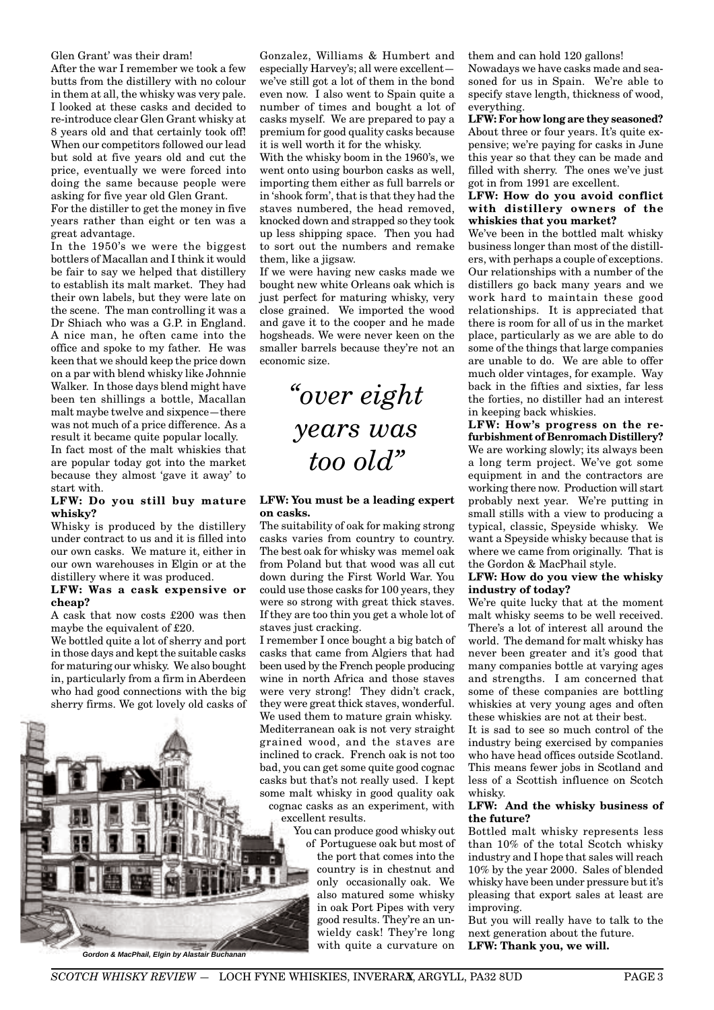#### Glen Grant' was their dram!

After the war I remember we took a few butts from the distillery with no colour in them at all, the whisky was very pale. I looked at these casks and decided to re-introduce clear Glen Grant whisky at 8 years old and that certainly took off! When our competitors followed our lead but sold at five years old and cut the price, eventually we were forced into doing the same because people were asking for five year old Glen Grant.

For the distiller to get the money in five years rather than eight or ten was a great advantage.

In the 1950's we were the biggest bottlers of Macallan and I think it would be fair to say we helped that distillery to establish its malt market. They had their own labels, but they were late on the scene. The man controlling it was a Dr Shiach who was a G.P. in England. A nice man, he often came into the office and spoke to my father. He was keen that we should keep the price down on a par with blend whisky like Johnnie Walker. In those days blend might have been ten shillings a bottle, Macallan malt maybe twelve and sixpence—there was not much of a price difference. As a result it became quite popular locally.

In fact most of the malt whiskies that are popular today got into the market because they almost 'gave it away' to start with.

#### **LFW: Do you still buy mature whisky?**

Whisky is produced by the distillery under contract to us and it is filled into our own casks. We mature it, either in our own warehouses in Elgin or at the distillery where it was produced.

#### **LFW: Was a cask expensive or cheap?**

A cask that now costs £200 was then maybe the equivalent of £20.

We bottled quite a lot of sherry and port in those days and kept the suitable casks for maturing our whisky. We also bought in, particularly from a firm in Aberdeen who had good connections with the big sherry firms. We got lovely old casks of



Gonzalez, Williams & Humbert and especially Harvey's; all were excellent we've still got a lot of them in the bond even now. I also went to Spain quite a number of times and bought a lot of casks myself. We are prepared to pay a premium for good quality casks because it is well worth it for the whisky.

With the whisky boom in the 1960's, we went onto using bourbon casks as well, importing them either as full barrels or in 'shook form', that is that they had the staves numbered, the head removed, knocked down and strapped so they took up less shipping space. Then you had to sort out the numbers and remake them, like a jigsaw.

If we were having new casks made we bought new white Orleans oak which is just perfect for maturing whisky, very close grained. We imported the wood and gave it to the cooper and he made hogsheads. We were never keen on the smaller barrels because they're not an economic size.

# *"over eight years was too old"*

#### **LFW: You must be a leading expert on casks.**

The suitability of oak for making strong casks varies from country to country. The best oak for whisky was memel oak from Poland but that wood was all cut down during the First World War. You could use those casks for 100 years, they were so strong with great thick staves. If they are too thin you get a whole lot of staves just cracking.

I remember I once bought a big batch of casks that came from Algiers that had been used by the French people producing wine in north Africa and those staves were very strong! They didn't crack, they were great thick staves, wonderful. We used them to mature grain whisky. Mediterranean oak is not very straight grained wood, and the staves are inclined to crack. French oak is not too bad, you can get some quite good cognac casks but that's not really used. I kept some malt whisky in good quality oak cognac casks as an experiment, with excellent results.

You can produce good whisky out

of Portuguese oak but most of the port that comes into the country is in chestnut and only occasionally oak. We also matured some whisky in oak Port Pipes with very good results. They're an unwieldy cask! They're long with quite a curvature on

them and can hold 120 gallons!

Nowadays we have casks made and seasoned for us in Spain. We're able to specify stave length, thickness of wood, everything.

**LFW: For how long are they seasoned?** About three or four years. It's quite expensive; we're paying for casks in June this year so that they can be made and filled with sherry. The ones we've just got in from 1991 are excellent.

#### **LFW: How do you avoid conflict with distillery owners of the whiskies that you market?**

We've been in the bottled malt whisky business longer than most of the distillers, with perhaps a couple of exceptions. Our relationships with a number of the distillers go back many years and we work hard to maintain these good relationships. It is appreciated that there is room for all of us in the market place, particularly as we are able to do some of the things that large companies are unable to do. We are able to offer much older vintages, for example. Way back in the fifties and sixties, far less the forties, no distiller had an interest in keeping back whiskies.

**LFW: How's progress on the refurbishment of Benromach Distillery?** We are working slowly; its always been a long term project. We've got some equipment in and the contractors are working there now. Production will start probably next year. We're putting in small stills with a view to producing a typical, classic, Speyside whisky. We want a Speyside whisky because that is where we came from originally. That is the Gordon & MacPhail style.

#### **LFW: How do you view the whisky industry of today?**

We're quite lucky that at the moment malt whisky seems to be well received. There's a lot of interest all around the world. The demand for malt whisky has never been greater and it's good that many companies bottle at varying ages and strengths. I am concerned that some of these companies are bottling whiskies at very young ages and often these whiskies are not at their best.

It is sad to see so much control of the industry being exercised by companies who have head offices outside Scotland. This means fewer jobs in Scotland and less of a Scottish influence on Scotch whisky.

#### **LFW: And the whisky business of the future?**

Bottled malt whisky represents less than 10% of the total Scotch whisky industry and I hope that sales will reach 10% by the year 2000. Sales of blended whisky have been under pressure but it's pleasing that export sales at least are improving.

But you will really have to talk to the next generation about the future.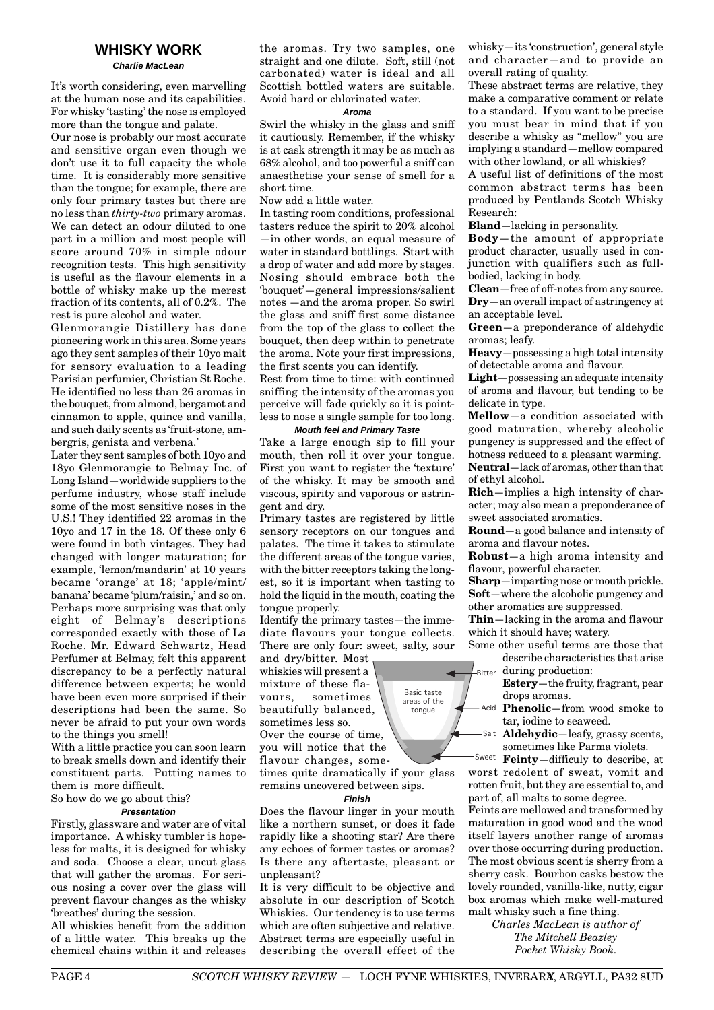# **WHISKY WORK**

**Charlie MacLean**

It's worth considering, even marvelling at the human nose and its capabilities. For whisky 'tasting' the nose is employed more than the tongue and palate.

Our nose is probably our most accurate and sensitive organ even though we don't use it to full capacity the whole time. It is considerably more sensitive than the tongue; for example, there are only four primary tastes but there are no less than *thirty-two* primary aromas. We can detect an odour diluted to one part in a million and most people will score around 70% in simple odour recognition tests. This high sensitivity is useful as the flavour elements in a bottle of whisky make up the merest fraction of its contents, all of 0.2%. The rest is pure alcohol and water.

Glenmorangie Distillery has done pioneering work in this area. Some years ago they sent samples of their 10yo malt for sensory evaluation to a leading Parisian perfumier, Christian St Roche. He identified no less than 26 aromas in the bouquet, from almond, bergamot and cinnamon to apple, quince and vanilla, and such daily scents as 'fruit-stone, ambergris, genista and verbena.'

Later they sent samples of both 10yo and 18yo Glenmorangie to Belmay Inc. of Long Island—worldwide suppliers to the perfume industry, whose staff include some of the most sensitive noses in the U.S.! They identified 22 aromas in the 10yo and 17 in the 18. Of these only 6 were found in both vintages. They had changed with longer maturation; for example, 'lemon/mandarin' at 10 years became 'orange' at 18; 'apple/mint/ banana' became 'plum/raisin,' and so on. Perhaps more surprising was that only eight of Belmay's descriptions corresponded exactly with those of La Roche. Mr. Edward Schwartz, Head Perfumer at Belmay, felt this apparent discrepancy to be a perfectly natural difference between experts; he would have been even more surprised if their descriptions had been the same. So never be afraid to put your own words to the things you smell!

With a little practice you can soon learn to break smells down and identify their constituent parts. Putting names to them is more difficult.

So how do we go about this?

#### **Presentation**

Firstly, glassware and water are of vital importance. A whisky tumbler is hopeless for malts, it is designed for whisky and soda. Choose a clear, uncut glass that will gather the aromas. For serious nosing a cover over the glass will prevent flavour changes as the whisky 'breathes' during the session.

All whiskies benefit from the addition of a little water. This breaks up the chemical chains within it and releases the aromas. Try two samples, one straight and one dilute. Soft, still (not carbonated) water is ideal and all Scottish bottled waters are suitable. Avoid hard or chlorinated water.

#### **Aroma**

Swirl the whisky in the glass and sniff it cautiously. Remember, if the whisky is at cask strength it may be as much as 68% alcohol, and too powerful a sniff can anaesthetise your sense of smell for a short time.

Now add a little water.

In tasting room conditions, professional tasters reduce the spirit to 20% alcohol —in other words, an equal measure of water in standard bottlings. Start with a drop of water and add more by stages. Nosing should embrace both the 'bouquet'—general impressions/salient notes —and the aroma proper. So swirl the glass and sniff first some distance from the top of the glass to collect the bouquet, then deep within to penetrate the aroma. Note your first impressions, the first scents you can identify.

Rest from time to time: with continued sniffing the intensity of the aromas you perceive will fade quickly so it is pointless to nose a single sample for too long.

#### **Mouth feel and Primary Taste**

Take a large enough sip to fill your mouth, then roll it over your tongue. First you want to register the 'texture' of the whisky. It may be smooth and viscous, spirity and vaporous or astringent and dry.

Primary tastes are registered by little sensory receptors on our tongues and palates. The time it takes to stimulate the different areas of the tongue varies, with the bitter receptors taking the longest, so it is important when tasting to hold the liquid in the mouth, coating the tongue properly.

Identify the primary tastes—the immediate flavours your tongue collects. There are only four: sweet, salty, sour

and dry/bitter. Most whiskies will present a mixture of these flavours, sometimes beautifully balanced, sometimes less so.

Over the course of time, you will notice that the flavour changes, sometimes quite dramatically if your glass

remains uncovered between sips. **Finish**

Does the flavour linger in your mouth like a northern sunset, or does it fade rapidly like a shooting star? Are there any echoes of former tastes or aromas? Is there any aftertaste, pleasant or unpleasant?

It is very difficult to be objective and absolute in our description of Scotch Whiskies. Our tendency is to use terms which are often subjective and relative. Abstract terms are especially useful in describing the overall effect of the

whisky—its 'construction', general style and character—and to provide an overall rating of quality.

These abstract terms are relative, they make a comparative comment or relate to a standard. If you want to be precise you must bear in mind that if you describe a whisky as "mellow" you are implying a standard—mellow compared with other lowland, or all whiskies?

A useful list of definitions of the most common abstract terms has been produced by Pentlands Scotch Whisky Research:

**Bland**—lacking in personality.

**Body**—the amount of appropriate product character, usually used in conjunction with qualifiers such as fullbodied, lacking in body.

**Clean**—free of off-notes from any source. **Dry**—an overall impact of astringency at an acceptable level.

**Green**—a preponderance of aldehydic aromas; leafy.

**Heavy**—possessing a high total intensity of detectable aroma and flavour.

**Light**—possessing an adequate intensity of aroma and flavour, but tending to be delicate in type.

**Mellow**—a condition associated with good maturation, whereby alcoholic pungency is suppressed and the effect of hotness reduced to a pleasant warming. **Neutral**—lack of aromas, other than that of ethyl alcohol.

**Rich**—implies a high intensity of character; may also mean a preponderance of sweet associated aromatics.

**Round**—a good balance and intensity of aroma and flavour notes.

**Robust**—a high aroma intensity and flavour, powerful character.

**Sharp**—imparting nose or mouth prickle. **Soft**—where the alcoholic pungency and other aromatics are suppressed.

**Thin**—lacking in the aroma and flavour which it should have; watery.

Some other useful terms are those that describe characteristics that arise during production:

**Estery**—the fruity, fragrant, pear drops aromas.

Acid **Phenolic**—from wood smoke to tar, iodine to seaweed.

**Aldehydic**—leafy, grassy scents, sometimes like Parma violets.

Sweet **Feinty**—difficuly to describe, at worst redolent of sweat, vomit and rotten fruit, but they are essential to, and part of, all malts to some degree.

Feints are mellowed and transformed by maturation in good wood and the wood itself layers another range of aromas over those occurring during production. The most obvious scent is sherry from a sherry cask. Bourbon casks bestow the lovely rounded, vanilla-like, nutty, cigar box aromas which make well-matured malt whisky such a fine thing.

*Charles MacLean is author of The Mitchell Beazley Pocket Whisky Book.*

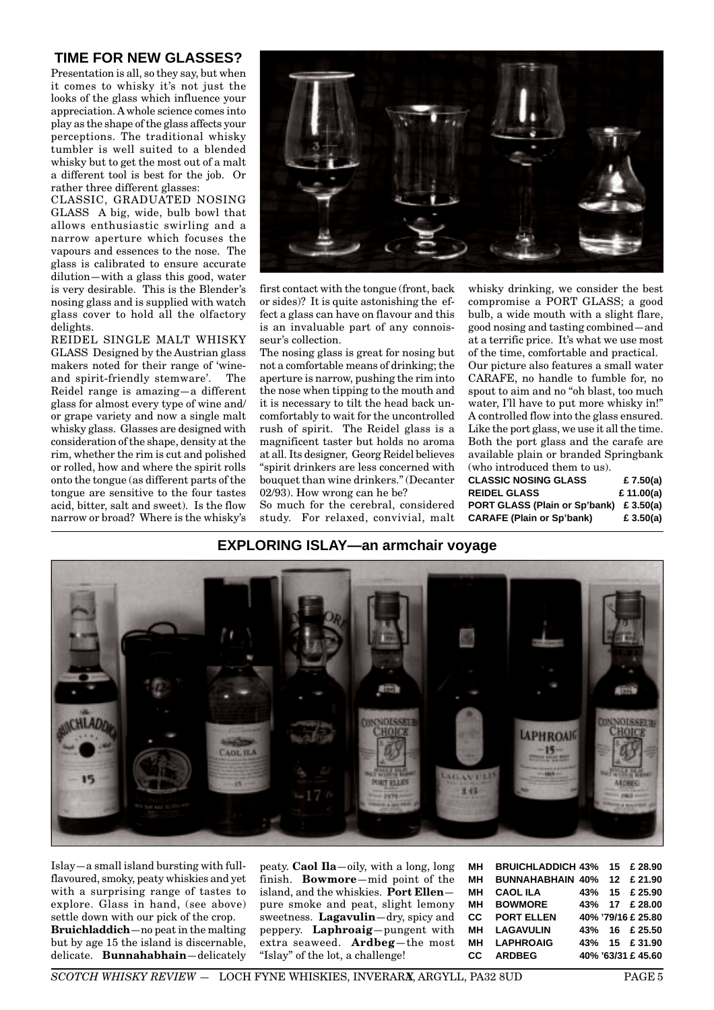# **TIME FOR NEW GLASSES?**

Presentation is all, so they say, but when it comes to whisky it's not just the looks of the glass which influence your appreciation. A whole science comes into play as the shape of the glass affects your perceptions. The traditional whisky tumbler is well suited to a blended whisky but to get the most out of a malt a different tool is best for the job. Or rather three different glasses:

CLASSIC, GRADUATED NOSING GLASS A big, wide, bulb bowl that allows enthusiastic swirling and a narrow aperture which focuses the vapours and essences to the nose. The glass is calibrated to ensure accurate dilution—with a glass this good, water is very desirable. This is the Blender's nosing glass and is supplied with watch glass cover to hold all the olfactory delights.

REIDEL SINGLE MALT WHISKY GLASS Designed by the Austrian glass makers noted for their range of 'wineand spirit-friendly stemware'. The Reidel range is amazing—a different glass for almost every type of wine and/ or grape variety and now a single malt whisky glass. Glasses are designed with consideration of the shape, density at the rim, whether the rim is cut and polished or rolled, how and where the spirit rolls onto the tongue (as different parts of the tongue are sensitive to the four tastes acid, bitter, salt and sweet). Is the flow narrow or broad? Where is the whisky's



first contact with the tongue (front, back or sides)? It is quite astonishing the effect a glass can have on flavour and this is an invaluable part of any connoisseur's collection.

The nosing glass is great for nosing but not a comfortable means of drinking; the aperture is narrow, pushing the rim into the nose when tipping to the mouth and it is necessary to tilt the head back uncomfortably to wait for the uncontrolled rush of spirit. The Reidel glass is a magnificent taster but holds no aroma at all. Its designer, Georg Reidel believes "spirit drinkers are less concerned with bouquet than wine drinkers." (Decanter 02/93). How wrong can he be?

So much for the cerebral, considered study. For relaxed, convivial, malt

whisky drinking, we consider the best compromise a PORT GLASS; a good bulb, a wide mouth with a slight flare, good nosing and tasting combined—and at a terrific price. It's what we use most of the time, comfortable and practical. Our picture also features a small water CARAFE, no handle to fumble for, no spout to aim and no "oh blast, too much water, I'll have to put more whisky in!" A controlled flow into the glass ensured. Like the port glass, we use it all the time. Both the port glass and the carafe are available plain or branded Springbank (who introduced them to us).

| CLASSIC NOSING GLASS                    | £ 7.50(a)  |
|-----------------------------------------|------------|
| REIDEL GLASS                            | £ 11.00(a) |
| PORT GLASS (Plain or Sp'bank) £ 3.50(a) |            |
| <b>CARAFE (Plain or Sp'bank)</b>        | £ 3.50(a)  |

# **EXPLORING ISLAY—an armchair voyage**



Islay—a small island bursting with fullflavoured, smoky, peaty whiskies and yet with a surprising range of tastes to explore. Glass in hand, (see above) settle down with our pick of the crop. **Bruichladdich**—no peat in the malting but by age 15 the island is discernable, delicate. **Bunnahabhain**—delicately peaty. **Caol Ila**—oily, with a long, long finish. **Bowmore**—mid point of the island, and the whiskies. **Port Ellen** pure smoke and peat, slight lemony sweetness. **Lagavulin**—dry, spicy and peppery. **Laphroaig**—pungent with extra seaweed. **Ardbeg**—the most "Islay" of the lot, a challenge!

| MН  | BRUICHLADDICH 43% 15 £ 28.90       |  |                    |
|-----|------------------------------------|--|--------------------|
| MН  | <b>BUNNAHABHAIN 40% 12 £ 21.90</b> |  |                    |
| MН  | <b>CAOL ILA</b>                    |  | 43% 15 £ 25.90     |
| MН  | <b>BOWMORE</b>                     |  | 43% 17 £ 28.00     |
| CC. | <b>PORT ELLEN</b>                  |  | 40% '79/16 £ 25.80 |
| MН  | <b>LAGAVULIN</b>                   |  | 43% 16 £ 25.50     |
| MН  | <b>LAPHROAIG</b>                   |  | 43% 15 £ 31.90     |
| CС  | <b>ARDBEG</b>                      |  | 40% '63/31 £ 45.60 |
|     |                                    |  |                    |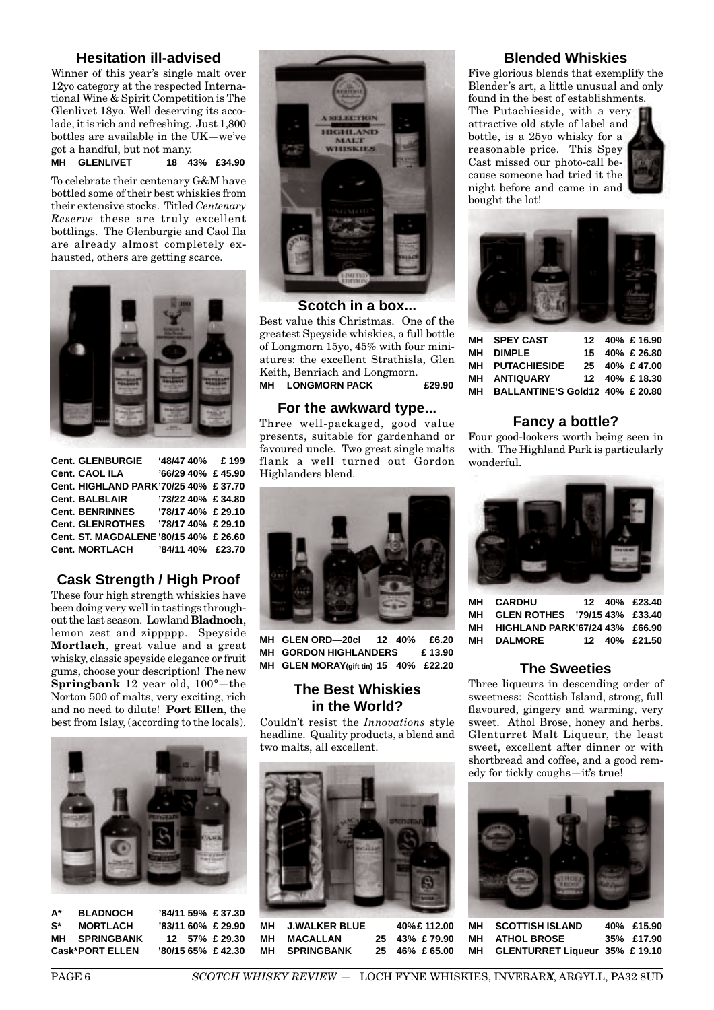# **Hesitation ill-advised**

Winner of this year's single malt over 12yo category at the respected International Wine & Spirit Competition is The Glenlivet 18yo. Well deserving its accolade, it is rich and refreshing. Just 1,800 bottles are available in the UK—we've got a handful, but not many.

**MH GLENLIVET 18 43% £34.90**

To celebrate their centenary G&M have bottled some of their best whiskies from their extensive stocks. Titled *Centenary Reserve* these are truly excellent bottlings. The Glenburgie and Caol Ila are already almost completely exhausted, others are getting scarce.



| <b>Cent. GLENBURGIE</b>                | '48/47 40% £ 199   |  |
|----------------------------------------|--------------------|--|
| <b>Cent. CAOL ILA</b>                  | '66/29 40% £ 45.90 |  |
| Cent. HIGHLAND PARK'70/25 40% £ 37.70  |                    |  |
| <b>Cent. BALBLAIR</b>                  | '73/22 40% £ 34.80 |  |
| <b>Cent. BENRINNES</b>                 | '78/17 40% £ 29.10 |  |
| Cent. GLENROTHES '78/17 40% £ 29.10    |                    |  |
| Cent. ST. MAGDALENE '80/15 40% £ 26.60 |                    |  |
| <b>Cent. MORTLACH</b>                  | '84/11 40% £23.70  |  |

# **Cask Strength / High Proof**

These four high strength whiskies have been doing very well in tastings throughout the last season. Lowland **Bladnoch**, lemon zest and zippppp. Speyside **Mortlach**, great value and a great whisky, classic speyside elegance or fruit gums, choose your description! The new **Springbank** 12 year old, 100°—the Norton 500 of malts, very exciting, rich and no need to dilute! **Port Ellen**, the best from Islay, (according to the locals).



**A\* BLADNOCH '84/11 59% £ 37.30 S\* MORTLACH '83/11 60% £ 29.90 MH SPRINGBANK 12 57% £ 29.30 Cask\*PORT ELLEN '80/15 65% £ 42.30**



# **Scotch in a box...**

Best value this Christmas. One of the greatest Speyside whiskies, a full bottle of Longmorn 15yo, 45% with four miniatures: the excellent Strathisla, Glen Keith, Benriach and Longmorn. **MH LONGMORN PACK £29.90**

# **For the awkward type...**

Three well-packaged, good value presents, suitable for gardenhand or favoured uncle. Two great single malts flank a well turned out Gordon Highlanders blend.

# **Blended Whiskies**

Five glorious blends that exemplify the Blender's art, a little unusual and only found in the best of establishments.

The Putachieside, with a very attractive old style of label and bottle, is a 25yo whisky for a reasonable price. This Spey Cast missed our photo-call because someone had tried it the night before and came in and bought the lot!





| MH SPEY CAST                       |  | 12 40% £ 16.90 |
|------------------------------------|--|----------------|
| MH DIMPLE                          |  | 15 40% £ 26.80 |
| <b>MH PUTACHIESIDE</b>             |  | 25 40% £47.00  |
| <b>MH ANTIQUARY</b>                |  | 12 40% £ 18.30 |
| MH BALLANTINE'S Gold12 40% £ 20.80 |  |                |

# **Fancy a bottle?**

Four good-lookers worth being seen in with. The Highland Park is particularly wonderful.

**MH CARDHU 12 40% £23.40 MH GLEN ROTHES '79/15 43% £33.40 MH HIGHLAND PARK'67/24 43% £66.90 MH DALMORE 12 40% £21.50**

**The Sweeties** Three liqueurs in descending order of sweetness: Scottish Island, strong, full flavoured, gingery and warming, very sweet. Athol Brose, honey and herbs. Glenturret Malt Liqueur, the least sweet, excellent after dinner or with shortbread and coffee, and a good rem-

edy for tickly coughs—it's true!



**MH GLEN ORD—20cl 12 40% £6.20 MH GORDON HIGHLANDERS £ 13.90 MH GLEN MORAY(gift tin) 15 40% £22.20**

# **The Best Whiskies in the World?**

Couldn't resist the *Innovations* style headline. Quality products, a blend and two malts, all excellent.



**MH J.WALKER BLUE 40%£ 112.00 MH MACALLAN 25 43% £ 79.90 MH SPRINGBANK 25 46% £ 65.00**

**MH SCOTTISH ISLAND 40% £15.90 MH ATHOL BROSE 35% £17.90 MH GLENTURRET Liqueur 35% £ 19.10**



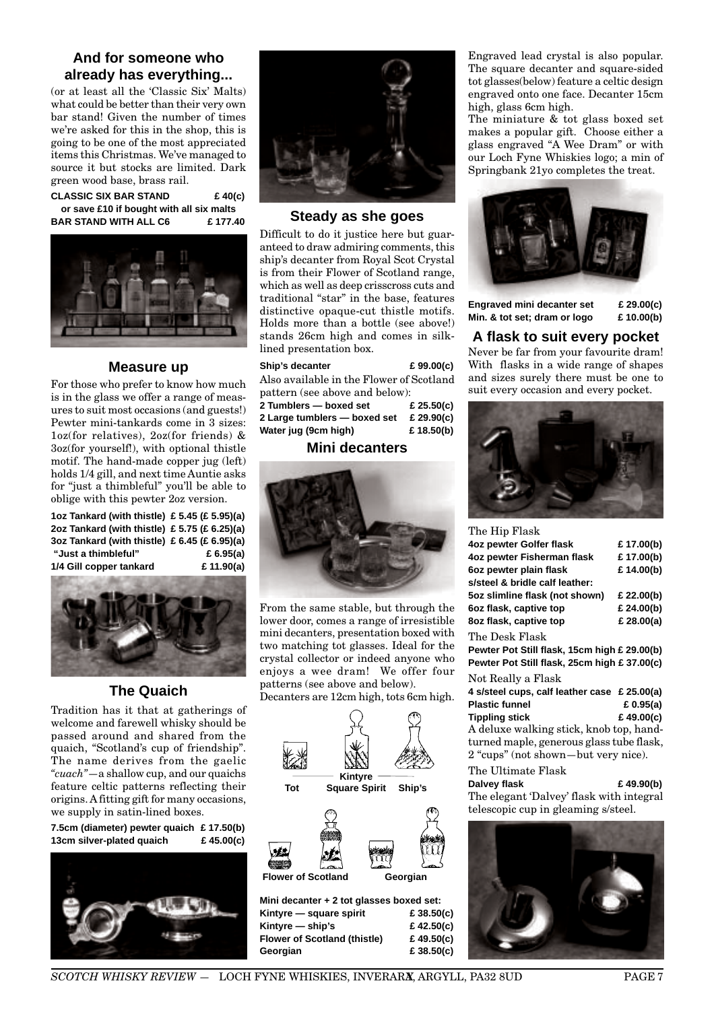# **And for someone who already has everything...**

(or at least all the 'Classic Six' Malts) what could be better than their very own bar stand! Given the number of times we're asked for this in the shop, this is going to be one of the most appreciated items this Christmas. We've managed to source it but stocks are limited. Dark green wood base, brass rail.

**CLASSIC SIX BAR STAND £ 40(c) or save £10 if bought with all six malts BAR STAND WITH ALL C6 £ 177.40**



# **Measure up**

For those who prefer to know how much is in the glass we offer a range of measures to suit most occasions (and guests!) Pewter mini-tankards come in 3 sizes: 1oz(for relatives), 2oz(for friends) & 3oz(for yourself!), with optional thistle motif. The hand-made copper jug (left) holds 1/4 gill, and next time Auntie asks for "just a thimbleful" you'll be able to oblige with this pewter 2oz version.

**1oz Tankard (with thistle) £ 5.45 (£ 5.95)(a) 2oz Tankard (with thistle) £ 5.75 (£ 6.25)(a) 3oz Tankard (with thistle) £ 6.45 (£ 6.95)(a) "Just a thimbleful" £ 6.95(a) 1/4 Gill copper tankard £ 11.90(a)**



# **The Quaich**

Tradition has it that at gatherings of welcome and farewell whisky should be passed around and shared from the quaich, "Scotland's cup of friendship". The name derives from the gaelic *"cuach"*—a shallow cup, and our quaichs feature celtic patterns reflecting their origins. A fitting gift for many occasions, we supply in satin-lined boxes.

**7.5cm (diameter) pewter quaich £ 17.50(b) 13cm silver-plated quaich £ 45.00(c)**





# **Steady as she goes**

Difficult to do it justice here but guaranteed to draw admiring comments, this ship's decanter from Royal Scot Crystal is from their Flower of Scotland range, which as well as deep crisscross cuts and traditional "star" in the base, features distinctive opaque-cut thistle motifs. Holds more than a bottle (see above!) stands 26cm high and comes in silklined presentation box.

| Ship's decanter                          | £99.00(c)  |  |  |
|------------------------------------------|------------|--|--|
| Also available in the Flower of Scotland |            |  |  |
| pattern (see above and below):           |            |  |  |
| 2 Tumblers — boxed set                   | £ 25.50(c) |  |  |
| 2 Large tumblers — boxed set             | £ 29.90(c) |  |  |
| Water jug (9cm high)                     | £18.50(b)  |  |  |
| <b>Mini decanters</b>                    |            |  |  |

From the same stable, but through the lower door, comes a range of irresistible mini decanters, presentation boxed with two matching tot glasses. Ideal for the crystal collector or indeed anyone who enjoys a wee dram! We offer four patterns (see above and below).

Decanters are 12cm high, tots 6cm high.



**Kintyre — square spirit £ 38.50(c) Kintyre — ship's £ 42.50(c) Flower of Scotland (thistle) £ 49.50(c) Georgian £ 38.50(c)**

Engraved lead crystal is also popular. The square decanter and square-sided tot glasses(below) feature a celtic design engraved onto one face. Decanter 15cm high, glass 6cm high.

The miniature & tot glass boxed set makes a popular gift. Choose either a glass engraved "A Wee Dram" or with our Loch Fyne Whiskies logo; a min of Springbank 21yo completes the treat.



**Engraved mini decanter set £ 29.00(c) Min. & tot set; dram or logo £ 10.00(b)**

**A flask to suit every pocket** Never be far from your favourite dram! With flasks in a wide range of shapes and sizes surely there must be one to suit every occasion and every pocket.



| The Hip Flask                                |             |
|----------------------------------------------|-------------|
| 4oz pewter Golfer flask                      | £17.00(b)   |
| 4oz pewter Fisherman flask                   | £17.00(b)   |
| 6oz pewter plain flask                       | £14.00(b)   |
| s/steel & bridle calf leather:               |             |
| 5oz slimline flask (not shown)               | £ 22.00(b)  |
| 6oz flask, captive top                       | £ 24.00(b)  |
| 8oz flask, captive top                       | £ 28.00(a)  |
| The Desk Flask                               |             |
| Pewter Pot Still flask, 15cm high £ 29.00(b) |             |
| Pewter Pot Still flask, 25cm high £ 37.00(c) |             |
| Not Really a Flask                           |             |
| 4 s/steel cups, calf leather case £ 25.00(a) |             |
| <b>Plastic funnel</b>                        | £ $0.95(a)$ |
| <b>Tippling stick</b>                        | £49.00(c)   |
| A deluxe walking stick, knob top, hand-      |             |
| turned manle, generous glass tube flask.     |             |

turned maple, generous glass tube flask, 2 "cups" (not shown—but very nice).

# The Ultimate Flask **Dalvey flask £ 49.90(b)**

The elegant 'Dalvey' flask with integral telescopic cup in gleaming s/steel.

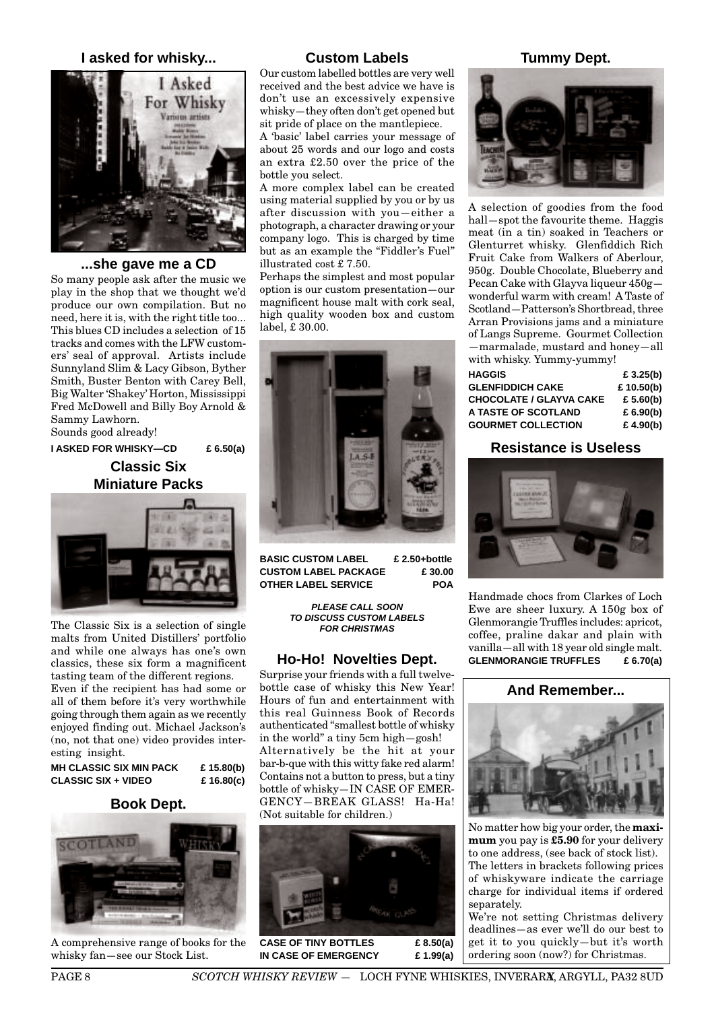# **I asked for whisky...**



#### **...she gave me a CD**

So many people ask after the music we play in the shop that we thought we'd produce our own compilation. But no need, here it is, with the right title too... This blues CD includes a selection of 15 tracks and comes with the LFW customers' seal of approval. Artists include Sunnyland Slim & Lacy Gibson, Byther Smith, Buster Benton with Carey Bell, Big Walter 'Shakey' Horton, Mississippi Fred McDowell and Billy Boy Arnold & Sammy Lawhorn.

Sounds good already!

**I ASKED FOR WHISKY—CD £ 6.50(a)**

**Classic Six Miniature Packs**



The Classic Six is a selection of single malts from United Distillers' portfolio and while one always has one's own classics, these six form a magnificent tasting team of the different regions.

Even if the recipient has had some or all of them before it's very worthwhile going through them again as we recently enjoyed finding out. Michael Jackson's (no, not that one) video provides interesting insight.

| MH CLASSIC SIX MIN PACK | £ 15.80(b) |
|-------------------------|------------|
| CLASSIC SIX + VIDEO     | £ 16.80(c) |

# **Book Dept.**



A comprehensive range of books for the whisky fan—see our Stock List.

# **Custom Labels**

Our custom labelled bottles are very well received and the best advice we have is don't use an excessively expensive whisky—they often don't get opened but sit pride of place on the mantlepiece.

A 'basic' label carries your message of about 25 words and our logo and costs an extra £2.50 over the price of the bottle you select.

A more complex label can be created using material supplied by you or by us after discussion with you—either a photograph, a character drawing or your company logo. This is charged by time but as an example the "Fiddler's Fuel" illustrated cost £ 7.50.

Perhaps the simplest and most popular option is our custom presentation—our magnificent house malt with cork seal, high quality wooden box and custom label, £ 30.00.



**BASIC CUSTOM LABEL £ 2.50+bottle CUSTOM LABEL PACKAGE £ 30.00 OTHER LABEL SERVICE POA**

> **PLEASE CALL SOON TO DISCUSS CUSTOM LABELS FOR CHRISTMAS**

## **Ho-Ho! Novelties Dept.**

Surprise your friends with a full twelvebottle case of whisky this New Year! Hours of fun and entertainment with this real Guinness Book of Records authenticated "smallest bottle of whisky in the world" a tiny 5cm high—gosh! Alternatively be the hit at your bar-b-que with this witty fake red alarm! Contains not a button to press, but a tiny bottle of whisky—IN CASE OF EMER-GENCY—BREAK GLASS! Ha-Ha! (Not suitable for children.)



**IN CASE OF EMERGENCY £ 1.99(a)**

# **Tummy Dept.**



A selection of goodies from the food hall—spot the favourite theme. Haggis meat (in a tin) soaked in Teachers or Glenturret whisky. Glenfiddich Rich Fruit Cake from Walkers of Aberlour, 950g. Double Chocolate, Blueberry and Pecan Cake with Glayva liqueur  $450g$ wonderful warm with cream! A Taste of Scotland—Patterson's Shortbread, three Arran Provisions jams and a miniature of Langs Supreme. Gourmet Collection —marmalade, mustard and honey—all with whisky. Yummy-yummy!

| <b>HAGGIS</b>                  |  |  | £ $3.25(b)$  |
|--------------------------------|--|--|--------------|
| <b>GLENFIDDICH CAKE</b>        |  |  | £ $10.50(b)$ |
| <b>CHOCOLATE / GLAYVA CAKE</b> |  |  | £ 5.60(b)    |
| A TASTE OF SCOTLAND            |  |  | £ 6.90(b)    |
| <b>GOURMET COLLECTION</b>      |  |  | £ 4.90(b)    |

# **Resistance is Useless**



Handmade chocs from Clarkes of Loch Ewe are sheer luxury. A 150g box of Glenmorangie Truffles includes: apricot, coffee, praline dakar and plain with vanilla—all with 18 year old single malt. **GLENMORANGIE TRUFFLES £ 6.70(a)**

**And Remember...**



No matter how big your order, the **maximum** you pay is **£5.90** for your delivery to one address, (see back of stock list). The letters in brackets following prices of whiskyware indicate the carriage charge for individual items if ordered separately.

We're not setting Christmas delivery deadlines—as ever we'll do our best to get it to you quickly—but it's worth ordering soon (now?) for Christmas.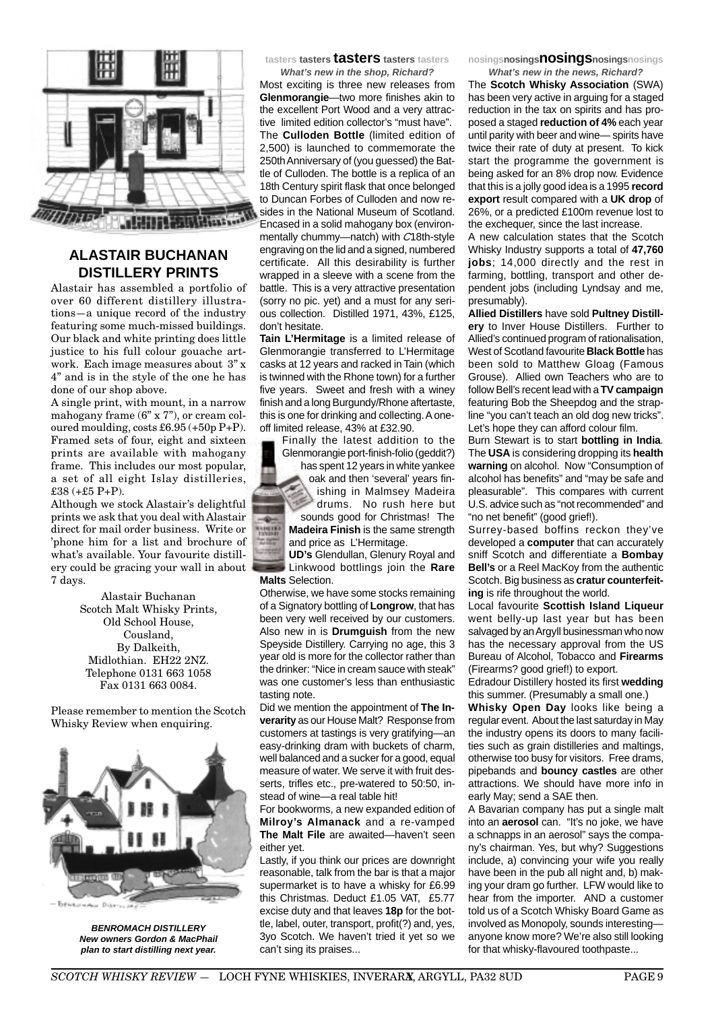

# **ALASTAIR BUCHANAN DISTILLERY PRINTS**

Alastair has assembled a portfolio of over 60 different distillery illustrations—a unique record of the industry featuring some much-missed buildings. Our black and white printing does little justice to his full colour gouache artwork. Each image measures about 3" x 4" and is in the style of the one he has done of our shop above.

A single print, with mount, in a narrow mahogany frame (6" x 7"), or cream coloured moulding, costs £6.95 (+50p P+P). Framed sets of four, eight and sixteen prints are available with mahogany frame. This includes our most popular, a set of all eight Islay distilleries, £38 (+£5 P+P).

Although we stock Alastair's delightful prints we ask that you deal with Alastair direct for mail order business. Write or 'phone him for a list and brochure of what's available. Your favourite distillery could be gracing your wall in about 7 days.

> Alastair Buchanan Scotch Malt Whisky Prints, Old School House, Cousland, By Dalkeith, Midlothian. EH22 2NZ. Telephone 0131 663 1058 Fax 0131 663 0084.

Please remember to mention the Scotch Whisky Review when enquiring.



**BENROMACH DISTILLERY New owners Gordon & MacPhail plan to start distilling next year.**

**tasters tasters tasters tasters tasters**

**What's new in the shop, Richard?** Most exciting is three new releases from **Glenmorangie**—two more finishes akin to the excellent Port Wood and a very attractive limited edition collector's "must have". The **Culloden Bottle** (limited edition of 2,500) is launched to commemorate the 250th Anniversary of (you guessed) the Battle of Culloden. The bottle is a replica of an 18th Century spirit flask that once belonged to Duncan Forbes of Culloden and now resides in the National Museum of Scotland. Encased in a solid mahogany box (environmentally chummy—natch) with C18th-style engraving on the lid and a signed, numbered certificate. All this desirability is further wrapped in a sleeve with a scene from the battle. This is a very attractive presentation (sorry no pic. yet) and a must for any serious collection. Distilled 1971, 43%, £125, don't hesitate.

**Tain L'Hermitage** is a limited release of Glenmorangie transferred to L'Hermitage casks at 12 years and racked in Tain (which is twinned with the Rhone town) for a further five years. Sweet and fresh with a winey finish and a long Burgundy/Rhone aftertaste, this is one for drinking and collecting. A oneoff limited release, 43% at £32.90.

Finally the latest addition to the Glenmorangie port-finish-folio (geddit?)

has spent 12 years in white yankee oak and then 'several' years finishing in Malmsey Madeira drums. No rush here but

sounds good for Christmas! The **Madeira Finish** is the same strength and price as L'Hermitage.

**HELL** 

**UD's** Glendullan, Glenury Royal and Linkwood bottlings join the **Rare Malts** Selection.

Otherwise, we have some stocks remaining of a Signatory bottling of **Longrow**, that has been very well received by our customers. Also new in is **Drumguish** from the new Speyside Distillery. Carrying no age, this 3 year old is more for the collector rather than the drinker: "Nice in cream sauce with steak" was one customer's less than enthusiastic tasting note.

Did we mention the appointment of **The Inverarity** as our House Malt? Response from customers at tastings is very gratifying—an easy-drinking dram with buckets of charm, well balanced and a sucker for a good, equal measure of water. We serve it with fruit desserts, trifles etc., pre-watered to 50:50, instead of wine—a real table hit!

For bookworms, a new expanded edition of **Milroy's Almanack** and a re-vamped **The Malt File** are awaited—haven't seen either yet.

Lastly, if you think our prices are downright reasonable, talk from the bar is that a major supermarket is to have a whisky for £6.99 this Christmas. Deduct £1.05 VAT, £5.77 excise duty and that leaves **18p** for the bottle, label, outer, transport, profit(?) and, yes, 3yo Scotch. We haven't tried it yet so we can't sing its praises...

**nosingsnosingsnosingsnosingsnosings**

**What's new in the news, Richard?** The **Scotch Whisky Association** (SWA) has been very active in arguing for a staged reduction in the tax on spirits and has proposed a staged **reduction of 4%** each year until parity with beer and wine— spirits have twice their rate of duty at present. To kick start the programme the government is being asked for an 8% drop now. Evidence that this is a jolly good idea is a 1995 **record export** result compared with a **UK drop** of 26%, or a predicted £100m revenue lost to the exchequer, since the last increase.

A new calculation states that the Scotch Whisky Industry supports a total of **47,760 jobs**; 14,000 directly and the rest in farming, bottling, transport and other dependent jobs (including Lyndsay and me, presumably).

**Allied Distillers** have sold **Pultney Distillery** to Inver House Distillers. Further to Allied's continued program of rationalisation, West of Scotland favourite **Black Bottle** has been sold to Matthew Gloag (Famous Grouse). Allied own Teachers who are to follow Bell's recent lead with a **TV campaign** featuring Bob the Sheepdog and the strapline "you can't teach an old dog new tricks". Let's hope they can afford colour film.

Burn Stewart is to start **bottling in India**. The **USA** is considering dropping its **health warning** on alcohol. Now "Consumption of alcohol has benefits" and "may be safe and pleasurable". This compares with current U.S. advice such as "not recommended" and "no net benefit" (good grief!).

Surrey-based boffins reckon they've developed a **computer** that can accurately sniff Scotch and differentiate a **Bombay Bell's** or a Reel MacKoy from the authentic Scotch. Big business as **cratur counterfeiting** is rife throughout the world.

Local favourite **Scottish Island Liqueur** went belly-up last year but has been salvaged by an Argyll businessman who now has the necessary approval from the US Bureau of Alcohol, Tobacco and **Firearms** (Firearms? good grief!) to export.

Edradour Distillery hosted its first **wedding** this summer. (Presumably a small one.)

**Whisky Open Day** looks like being a regular event. About the last saturday in May the industry opens its doors to many facilities such as grain distilleries and maltings, otherwise too busy for visitors. Free drams, pipebands and **bouncy castles** are other attractions. We should have more info in early May; send a SAE then.

A Bavarian company has put a single malt into an **aerosol** can. "It's no joke, we have a schnapps in an aerosol" says the company's chairman. Yes, but why? Suggestions include, a) convincing your wife you really have been in the pub all night and, b) making your dram go further. LFW would like to hear from the importer. AND a customer told us of a Scotch Whisky Board Game as involved as Monopoly, sounds interesting anyone know more? We're also still looking for that whisky-flavoured toothpaste...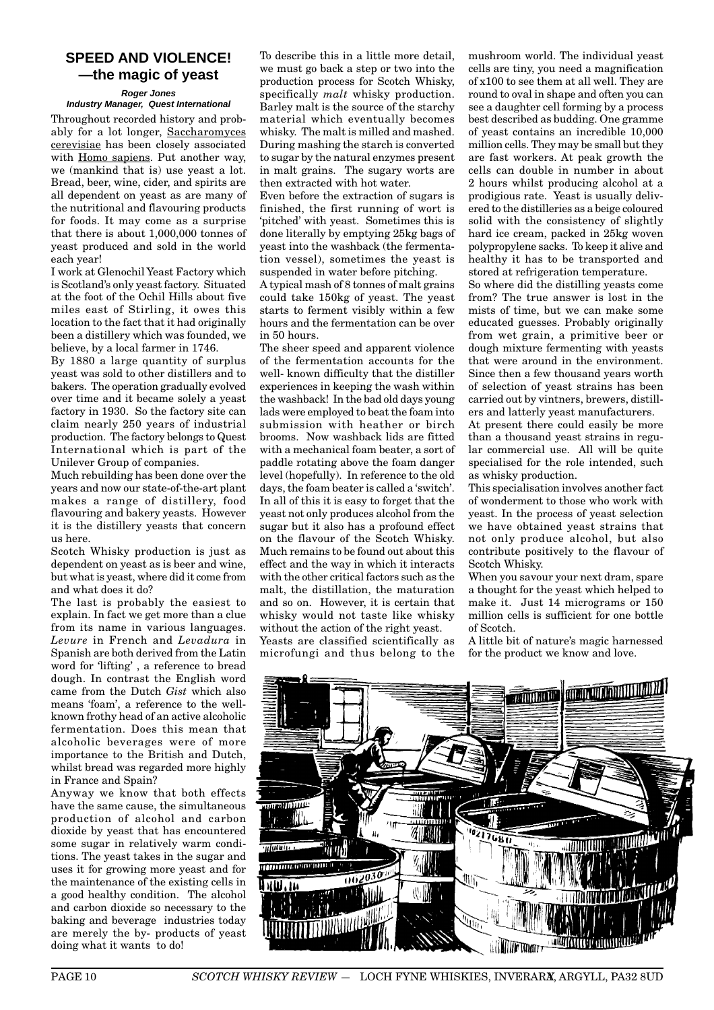# **SPEED AND VIOLENCE! —the magic of yeast**

#### **Roger Jones Industry Manager, Quest International**

Throughout recorded history and probably for a lot longer, Saccharomyces cerevisiae has been closely associated with Homo sapiens. Put another way, we (mankind that is) use yeast a lot. Bread, beer, wine, cider, and spirits are all dependent on yeast as are many of the nutritional and flavouring products for foods. It may come as a surprise that there is about 1,000,000 tonnes of yeast produced and sold in the world each year!

I work at Glenochil Yeast Factory which is Scotland's only yeast factory. Situated at the foot of the Ochil Hills about five miles east of Stirling, it owes this location to the fact that it had originally been a distillery which was founded, we believe, by a local farmer in 1746.

By 1880 a large quantity of surplus yeast was sold to other distillers and to bakers. The operation gradually evolved over time and it became solely a yeast factory in 1930. So the factory site can claim nearly 250 years of industrial production. The factory belongs to Quest International which is part of the Unilever Group of companies.

Much rebuilding has been done over the years and now our state-of-the-art plant makes a range of distillery, food flavouring and bakery yeasts. However it is the distillery yeasts that concern us here.

Scotch Whisky production is just as dependent on yeast as is beer and wine, but what is yeast, where did it come from and what does it do?

The last is probably the easiest to explain. In fact we get more than a clue from its name in various languages. *Levure* in French and *Levadura* in Spanish are both derived from the Latin word for 'lifting' , a reference to bread dough. In contrast the English word came from the Dutch *Gist* which also means 'foam', a reference to the wellknown frothy head of an active alcoholic fermentation. Does this mean that alcoholic beverages were of more importance to the British and Dutch, whilst bread was regarded more highly in France and Spain?

Anyway we know that both effects have the same cause, the simultaneous production of alcohol and carbon dioxide by yeast that has encountered some sugar in relatively warm conditions. The yeast takes in the sugar and uses it for growing more yeast and for the maintenance of the existing cells in a good healthy condition. The alcohol and carbon dioxide so necessary to the baking and beverage industries today are merely the by- products of yeast doing what it wants to do!

To describe this in a little more detail, we must go back a step or two into the production process for Scotch Whisky, specifically *malt* whisky production. Barley malt is the source of the starchy material which eventually becomes whisky. The malt is milled and mashed. During mashing the starch is converted to sugar by the natural enzymes present in malt grains. The sugary worts are then extracted with hot water.

Even before the extraction of sugars is finished, the first running of wort is 'pitched' with yeast. Sometimes this is done literally by emptying 25kg bags of yeast into the washback (the fermentation vessel), sometimes the yeast is suspended in water before pitching.

A typical mash of 8 tonnes of malt grains could take 150kg of yeast. The yeast starts to ferment visibly within a few hours and the fermentation can be over in 50 hours.

The sheer speed and apparent violence of the fermentation accounts for the well- known difficulty that the distiller experiences in keeping the wash within the washback! In the bad old days young lads were employed to beat the foam into submission with heather or birch brooms. Now washback lids are fitted with a mechanical foam beater, a sort of paddle rotating above the foam danger level (hopefully). In reference to the old days, the foam beater is called a 'switch'. In all of this it is easy to forget that the yeast not only produces alcohol from the sugar but it also has a profound effect on the flavour of the Scotch Whisky. Much remains to be found out about this effect and the way in which it interacts with the other critical factors such as the malt, the distillation, the maturation and so on. However, it is certain that whisky would not taste like whisky without the action of the right yeast.

Yeasts are classified scientifically as microfungi and thus belong to the

mushroom world. The individual yeast cells are tiny, you need a magnification of x100 to see them at all well. They are round to oval in shape and often you can see a daughter cell forming by a process best described as budding. One gramme of yeast contains an incredible 10,000 million cells. They may be small but they are fast workers. At peak growth the cells can double in number in about 2 hours whilst producing alcohol at a prodigious rate. Yeast is usually delivered to the distilleries as a beige coloured solid with the consistency of slightly hard ice cream, packed in 25kg woven polypropylene sacks. To keep it alive and healthy it has to be transported and stored at refrigeration temperature.

So where did the distilling yeasts come from? The true answer is lost in the mists of time, but we can make some educated guesses. Probably originally from wet grain, a primitive beer or dough mixture fermenting with yeasts that were around in the environment. Since then a few thousand years worth of selection of yeast strains has been carried out by vintners, brewers, distillers and latterly yeast manufacturers.

At present there could easily be more than a thousand yeast strains in regular commercial use. All will be quite specialised for the role intended, such as whisky production.

This specialisation involves another fact of wonderment to those who work with yeast. In the process of yeast selection we have obtained yeast strains that not only produce alcohol, but also contribute positively to the flavour of Scotch Whisky.

When you savour your next dram, spare a thought for the yeast which helped to make it. Just 14 micrograms or 150 million cells is sufficient for one bottle of Scotch.

A little bit of nature's magic harnessed for the product we know and love.

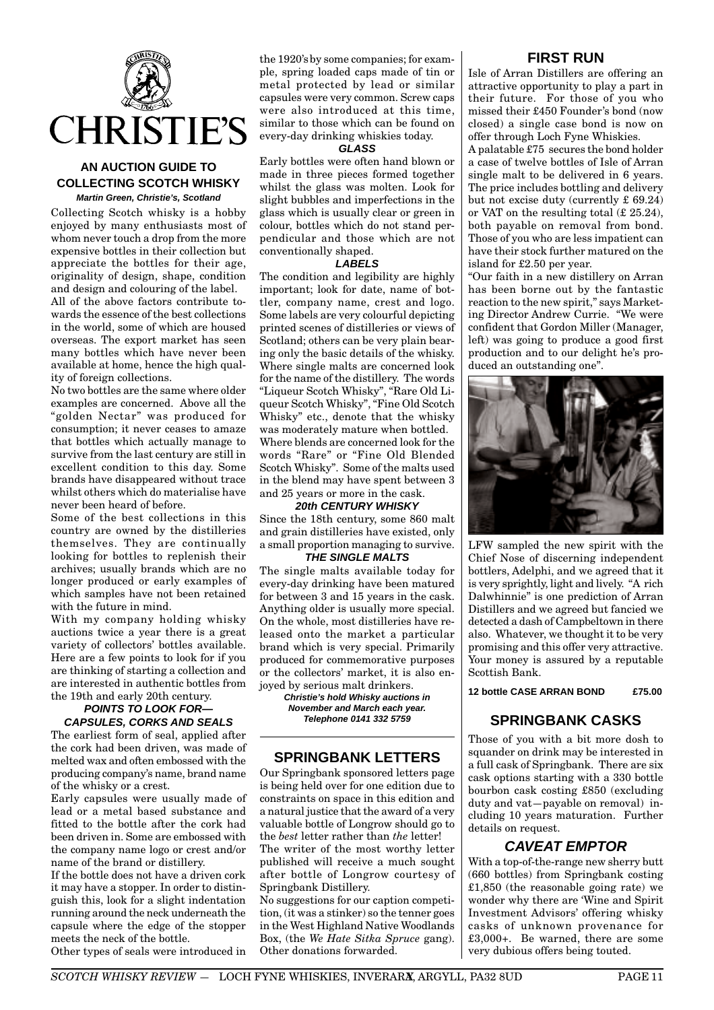

# **AN AUCTION GUIDE TO COLLECTING SCOTCH WHISKY Martin Green, Christie's, Scotland**

Collecting Scotch whisky is a hobby enjoyed by many enthusiasts most of whom never touch a drop from the more expensive bottles in their collection but appreciate the bottles for their age, originality of design, shape, condition and design and colouring of the label. All of the above factors contribute towards the essence of the best collections in the world, some of which are housed overseas. The export market has seen many bottles which have never been available at home, hence the high quality of foreign collections.

No two bottles are the same where older examples are concerned. Above all the "golden Nectar" was produced for consumption; it never ceases to amaze that bottles which actually manage to survive from the last century are still in excellent condition to this day. Some brands have disappeared without trace whilst others which do materialise have never been heard of before.

Some of the best collections in this country are owned by the distilleries themselves. They are continually looking for bottles to replenish their archives; usually brands which are no longer produced or early examples of which samples have not been retained with the future in mind.

With my company holding whisky auctions twice a year there is a great variety of collectors' bottles available. Here are a few points to look for if you are thinking of starting a collection and are interested in authentic bottles from the 19th and early 20th century.

## **POINTS TO LOOK FOR— CAPSULES, CORKS AND SEALS**

The earliest form of seal, applied after the cork had been driven, was made of melted wax and often embossed with the producing company's name, brand name of the whisky or a crest.

Early capsules were usually made of lead or a metal based substance and fitted to the bottle after the cork had been driven in. Some are embossed with the company name logo or crest and/or name of the brand or distillery.

If the bottle does not have a driven cork it may have a stopper. In order to distinguish this, look for a slight indentation running around the neck underneath the capsule where the edge of the stopper meets the neck of the bottle.

Other types of seals were introduced in

the 1920'sby some companies; for example, spring loaded caps made of tin or metal protected by lead or similar capsules were very common. Screw caps were also introduced at this time, similar to those which can be found on every-day drinking whiskies today.

#### **GLASS**

Early bottles were often hand blown or made in three pieces formed together whilst the glass was molten. Look for slight bubbles and imperfections in the glass which is usually clear or green in colour, bottles which do not stand perpendicular and those which are not conventionally shaped.

#### **LABELS**

The condition and legibility are highly important; look for date, name of bottler, company name, crest and logo. Some labels are very colourful depicting printed scenes of distilleries or views of Scotland; others can be very plain bearing only the basic details of the whisky. Where single malts are concerned look for the name of the distillery. The words "Liqueur Scotch Whisky", "Rare Old Liqueur Scotch Whisky", "Fine Old Scotch Whisky" etc., denote that the whisky was moderately mature when bottled. Where blends are concerned look for the words "Rare" or "Fine Old Blended Scotch Whisky". Some of the malts used in the blend may have spent between 3 and 25 years or more in the cask.

#### **20th CENTURY WHISKY**

Since the 18th century, some 860 malt and grain distilleries have existed, only a small proportion managing to survive.

# **THE SINGLE MALTS**

The single malts available today for every-day drinking have been matured for between 3 and 15 years in the cask. Anything older is usually more special. On the whole, most distilleries have released onto the market a particular brand which is very special. Primarily produced for commemorative purposes or the collectors' market, it is also enjoyed by serious malt drinkers.

> **Christie's hold Whisky auctions in November and March each year. Telephone 0141 332 5759**

# **SPRINGBANK LETTERS**

Our Springbank sponsored letters page is being held over for one edition due to constraints on space in this edition and a natural justice that the award of a very valuable bottle of Longrow should go to the *best* letter rather than *the* letter! The writer of the most worthy letter published will receive a much sought after bottle of Longrow courtesy of Springbank Distillery.

No suggestions for our caption competition, (it was a stinker) so the tenner goes in the West Highland Native Woodlands Box, (the *We Hate Sitka Spruce* gang). Other donations forwarded.

# **FIRST RUN**

Isle of Arran Distillers are offering an attractive opportunity to play a part in their future. For those of you who missed their £450 Founder's bond (now closed) a single case bond is now on offer through Loch Fyne Whiskies.

A palatable £75 secures the bond holder a case of twelve bottles of Isle of Arran single malt to be delivered in 6 years. The price includes bottling and delivery but not excise duty (currently £ 69.24) or VAT on the resulting total (£ 25.24), both payable on removal from bond. Those of you who are less impatient can have their stock further matured on the island for £2.50 per year.

"Our faith in a new distillery on Arran has been borne out by the fantastic reaction to the new spirit," says Marketing Director Andrew Currie. "We were confident that Gordon Miller (Manager, left) was going to produce a good first production and to our delight he's produced an outstanding one".



LFW sampled the new spirit with the Chief Nose of discerning independent bottlers, Adelphi, and we agreed that it is very sprightly, light and lively. "A rich Dalwhinnie" is one prediction of Arran Distillers and we agreed but fancied we detected a dash of Campbeltown in there also. Whatever, we thought it to be very promising and this offer very attractive. Your money is assured by a reputable Scottish Bank.

# **12 bottle CASE ARRAN BOND £75.00**

# **SPRINGBANK CASKS**

Those of you with a bit more dosh to squander on drink may be interested in a full cask of Springbank. There are six cask options starting with a 330 bottle bourbon cask costing £850 (excluding duty and vat—payable on removal) including 10 years maturation. Further details on request.

# **CAVEAT EMPTOR**

With a top-of-the-range new sherry butt (660 bottles) from Springbank costing £1,850 (the reasonable going rate) we wonder why there are 'Wine and Spirit Investment Advisors' offering whisky casks of unknown provenance for £3,000+. Be warned, there are some very dubious offers being touted.